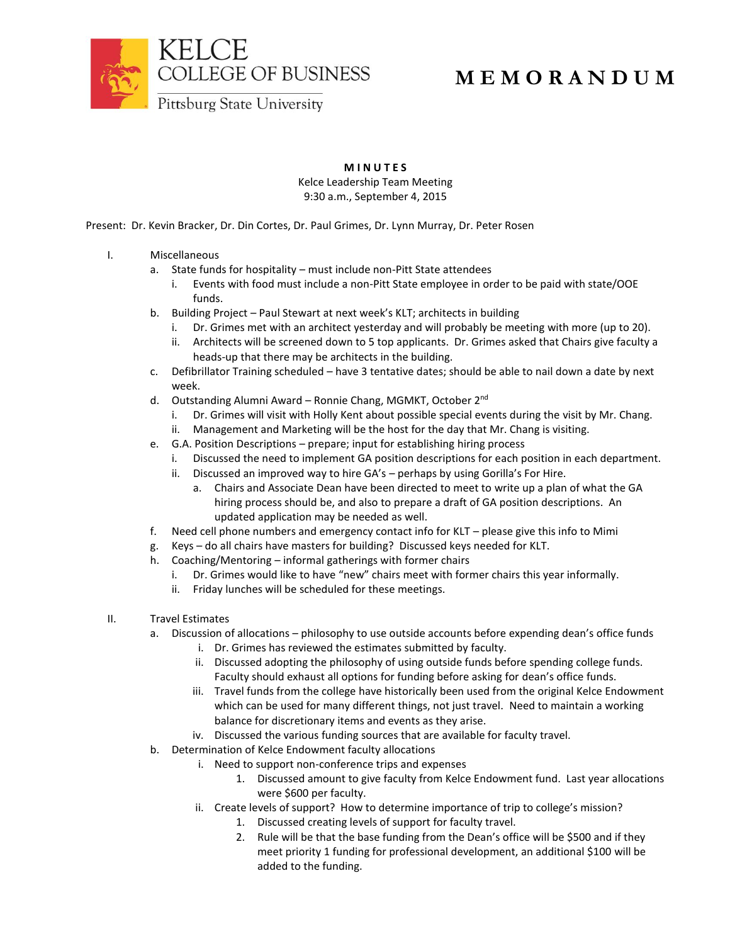

## **M E M O R A N D U M**

**M I N U T E S**

Kelce Leadership Team Meeting 9:30 a.m., September 4, 2015

Present: Dr. Kevin Bracker, Dr. Din Cortes, Dr. Paul Grimes, Dr. Lynn Murray, Dr. Peter Rosen

## I. Miscellaneous

- a. State funds for hospitality must include non-Pitt State attendees
	- i. Events with food must include a non-Pitt State employee in order to be paid with state/OOE funds.
- b. Building Project Paul Stewart at next week's KLT; architects in building
	- i. Dr. Grimes met with an architect yesterday and will probably be meeting with more (up to 20).
	- ii. Architects will be screened down to 5 top applicants. Dr. Grimes asked that Chairs give faculty a heads-up that there may be architects in the building.
- c. Defibrillator Training scheduled have 3 tentative dates; should be able to nail down a date by next week.
- d. Outstanding Alumni Award Ronnie Chang, MGMKT, October 2<sup>nd</sup>
	- i. Dr. Grimes will visit with Holly Kent about possible special events during the visit by Mr. Chang.
	- ii. Management and Marketing will be the host for the day that Mr. Chang is visiting.
- e. G.A. Position Descriptions prepare; input for establishing hiring process
	- i. Discussed the need to implement GA position descriptions for each position in each department.
	- ii. Discussed an improved way to hire GA's perhaps by using Gorilla's For Hire.
		- a. Chairs and Associate Dean have been directed to meet to write up a plan of what the GA hiring process should be, and also to prepare a draft of GA position descriptions. An updated application may be needed as well.
- f. Need cell phone numbers and emergency contact info for KLT please give this info to Mimi
- g. Keys do all chairs have masters for building? Discussed keys needed for KLT.
- h. Coaching/Mentoring informal gatherings with former chairs
	- i. Dr. Grimes would like to have "new" chairs meet with former chairs this year informally.
	- ii. Friday lunches will be scheduled for these meetings.

## II. Travel Estimates

- a. Discussion of allocations philosophy to use outside accounts before expending dean's office funds
	- i. Dr. Grimes has reviewed the estimates submitted by faculty.
	- ii. Discussed adopting the philosophy of using outside funds before spending college funds. Faculty should exhaust all options for funding before asking for dean's office funds.
	- iii. Travel funds from the college have historically been used from the original Kelce Endowment which can be used for many different things, not just travel. Need to maintain a working balance for discretionary items and events as they arise.
	- iv. Discussed the various funding sources that are available for faculty travel.
- b. Determination of Kelce Endowment faculty allocations
	- i. Need to support non-conference trips and expenses
		- 1. Discussed amount to give faculty from Kelce Endowment fund. Last year allocations were \$600 per faculty.
	- ii. Create levels of support? How to determine importance of trip to college's mission?
		- 1. Discussed creating levels of support for faculty travel.
		- 2. Rule will be that the base funding from the Dean's office will be \$500 and if they meet priority 1 funding for professional development, an additional \$100 will be added to the funding.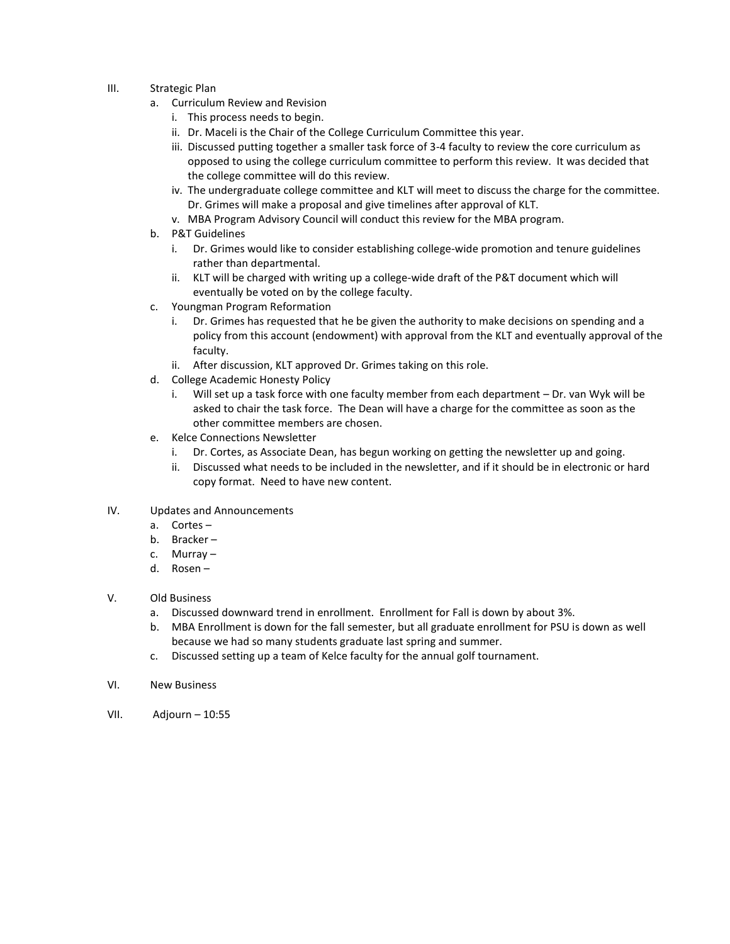- III. Strategic Plan
	- a. Curriculum Review and Revision
		- i. This process needs to begin.
		- ii. Dr. Maceli is the Chair of the College Curriculum Committee this year.
		- iii. Discussed putting together a smaller task force of 3-4 faculty to review the core curriculum as opposed to using the college curriculum committee to perform this review. It was decided that the college committee will do this review.
		- iv. The undergraduate college committee and KLT will meet to discuss the charge for the committee. Dr. Grimes will make a proposal and give timelines after approval of KLT.
		- v. MBA Program Advisory Council will conduct this review for the MBA program.
	- b. P&T Guidelines
		- i. Dr. Grimes would like to consider establishing college-wide promotion and tenure guidelines rather than departmental.
		- ii. KLT will be charged with writing up a college-wide draft of the P&T document which will eventually be voted on by the college faculty.
	- c. Youngman Program Reformation
		- i. Dr. Grimes has requested that he be given the authority to make decisions on spending and a policy from this account (endowment) with approval from the KLT and eventually approval of the faculty.
		- ii. After discussion, KLT approved Dr. Grimes taking on this role.
	- d. College Academic Honesty Policy
		- i. Will set up a task force with one faculty member from each department Dr. van Wyk will be asked to chair the task force. The Dean will have a charge for the committee as soon as the other committee members are chosen.
	- e. Kelce Connections Newsletter
		- i. Dr. Cortes, as Associate Dean, has begun working on getting the newsletter up and going.
		- ii. Discussed what needs to be included in the newsletter, and if it should be in electronic or hard copy format. Need to have new content.
- IV. Updates and Announcements
	- a. Cortes –
	- b. Bracker –
	- c. Murray –
	- d. Rosen –
- V. Old Business
	- a. Discussed downward trend in enrollment. Enrollment for Fall is down by about 3%.
	- b. MBA Enrollment is down for the fall semester, but all graduate enrollment for PSU is down as well because we had so many students graduate last spring and summer.
	- c. Discussed setting up a team of Kelce faculty for the annual golf tournament.
- VI. New Business
- VII. Adjourn 10:55